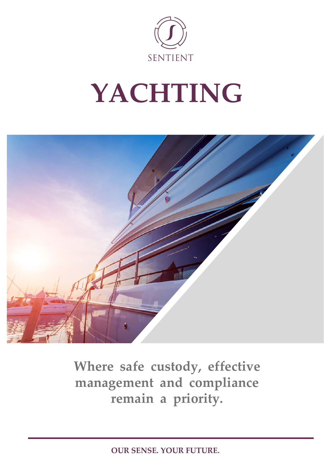

# **YACHTING**



**Where safe custody, effective management and compliance remain a priority.**

**OUR SENSE. YOUR FUTURE.**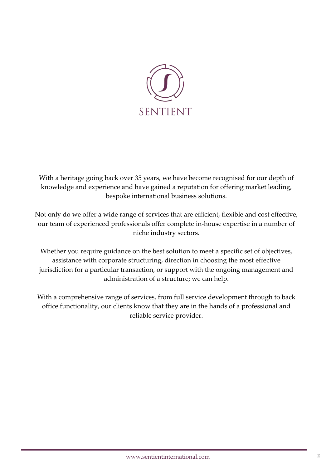

With a heritage going back over 35 years, we have become recognised for our depth of knowledge and experience and have gained a reputation for offering market leading, bespoke international business solutions.

Not only do we offer a wide range of services that are efficient, flexible and cost effective, our team of experienced professionals offer complete in-house expertise in a number of niche industry sectors.

Whether you require guidance on the best solution to meet a specific set of objectives, assistance with corporate structuring, direction in choosing the most effective jurisdiction for a particular transaction, or support with the ongoing management and administration of a structure; we can help.

With a comprehensive range of services, from full service development through to back office functionality, our clients know that they are in the hands of a professional and reliable service provider.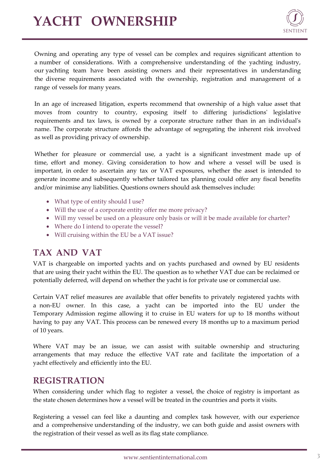### **YACHT OWNERSHIP**



Owning and operating any type of vessel can be complex and requires significant attention to a number of considerations. With a comprehensive understanding of the yachting industry, our yachting team have been assisting owners and their representatives in understanding the diverse requirements associated with the ownership, registration and management of a range of vessels for many years.

In an age of increased litigation, experts recommend that ownership of a high value asset that moves from country to country, exposing itself to differing jurisdictions' legislative requirements and tax laws, is owned by a corporate structure rather than in an individual's name. The corporate structure affords the advantage of segregating the inherent risk involved as well as providing privacy of ownership.

Whether for pleasure or commercial use, a yacht is a significant investment made up of time, effort and money. Giving consideration to how and where a vessel will be used is important, in order to ascertain any tax or VAT exposures, whether the asset is intended to generate income and subsequently whether tailored tax planning could offer any fiscal benefits and/or minimise any liabilities. Questions owners should ask themselves include:

- What type of entity should I use?
- Will the use of a corporate entity offer me more privacy?
- Will my vessel be used on a pleasure only basis or will it be made available for charter?
- Where do I intend to operate the vessel?
- Will cruising within the EU be a VAT issue?

### **TAX AND VAT**

VAT is chargeable on imported yachts and on yachts purchased and owned by EU residents that are using their yacht within the EU. The question as to whether VAT due can be reclaimed or potentially deferred, will depend on whether the yacht is for private use or commercial use.

Certain VAT relief measures are available that offer benefits to privately registered yachts with a non-EU owner. In this case, a yacht can be imported into the EU under the Temporary Admission regime allowing it to cruise in EU waters for up to 18 months without having to pay any VAT. This process can be renewed every 18 months up to a maximum period of 10 years.

Where VAT may be an issue, we can assist with suitable ownership and structuring arrangements that may reduce the effective VAT rate and facilitate the importation of a yacht effectively and efficiently into the EU.

### **REGISTRATION**

When considering under which flag to register a vessel, the choice of registry is important as the state chosen determines how a vessel will be treated in the countries and ports it visits.

Registering a vessel can feel like a daunting and complex task however, with our experience and a comprehensive understanding of the industry, we can both guide and assist owners with the registration of their vessel as well as its flag state compliance.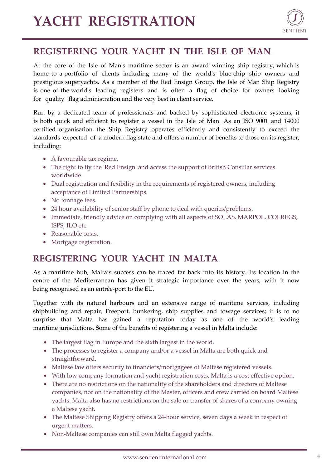

### **REGISTERING YOUR YACHT IN THE ISLE OF MAN**

At the core of the Isle of Man's maritime sector is an award winning ship registry, which is home to a portfolio of clients including many of the world's blue-chip ship owners and prestigious superyachts. As a member of the Red Ensign Group, the Isle of Man Ship Registry is one of the world's leading registers and is often a flag of choice for owners looking for quality flag administration and the very best in client service.

Run by a dedicated team of professionals and backed by sophisticated electronic systems, it is both quick and efficient to register a vessel in the Isle of Man. As an ISO 9001 and 14000 certified organisation, the Ship Registry operates efficiently and consistently to exceed the standards expected of a modern flag state and offers a number of benefits to those on its register, including:

- A favourable tax regime.
- The right to fly the 'Red Ensign' and access the support of British Consular services worldwide.
- Dual registration and fexibility in the requirements of registered owners, including acceptance of Limited Partnerships.
- No tonnage fees.
- 24 hour availability of senior staff by phone to deal with queries/problems.
- Immediate, friendly advice on complying with all aspects of SOLAS, MARPOL, COLREGS, ISPS, ILO etc.
- Reasonable costs.
- Mortgage registration.

### **REGISTERING YOUR YACHT IN MALTA**

As a maritime hub, Malta's success can be traced far back into its history. Its location in the centre of the Mediterranean has given it strategic importance over the years, with it now being recognised as an entrée-port to the EU.

Together with its natural harbours and an extensive range of maritime services, including shipbuilding and repair, Freeport, bunkering, ship supplies and towage services; it is to no surprise that Malta has gained a reputation today as one of the world's leading maritime jurisdictions. Some of the benefits of registering a vessel in Malta include:

- The largest flag in Europe and the sixth largest in the world.
- The processes to register a company and/or a vessel in Malta are both quick and straightforward.
- Maltese law offers security to financiers/mortgagees of Maltese registered vessels.
- With low company formation and yacht registration costs, Malta is a cost effective option.
- There are no restrictions on the nationality of the shareholders and directors of Maltese companies, nor on the nationality of the Master, officers and crew carried on board Maltese yachts. Malta also has no restrictions on the sale or transfer of shares of a company owning a Maltese yacht.
- The Maltese Shipping Registry offers a 24-hour service, seven days a week in respect of urgent matters.
- Non-Maltese companies can still own Malta flagged yachts.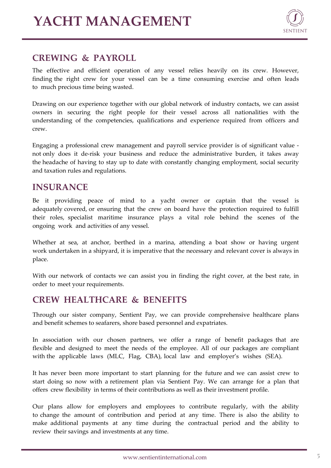

### **CREWING & PAYROLL**

The effective and efficient operation of any vessel relies heavily on its crew. However, finding the right crew for your vessel can be a time consuming exercise and often leads to much precious time being wasted.

Drawing on our experience together with our global network of industry contacts, we can assist owners in securing the right people for their vessel across all nationalities with the understanding of the competencies, qualifications and experience required from officers and crew.

Engaging a professional crew management and payroll service provider is of significant value not only does it de-risk your business and reduce the administrative burden, it takes away the headache of having to stay up to date with constantly changing employment, social security and taxation rules and regulations.

### **INSURANCE**

Be it providing peace of mind to a yacht owner or captain that the vessel is adequately covered, or ensuring that the crew on board have the protection required to fulfill their roles, specialist maritime insurance plays a vital role behind the scenes of the ongoing work and activities of any vessel.

Whether at sea, at anchor, berthed in a marina, attending a boat show or having urgent work undertaken in a shipyard, it is imperative that the necessary and relevant cover is always in place.

With our network of contacts we can assist you in finding the right cover, at the best rate, in order to meet your requirements.

### **CREW HEALTHCARE & BENEFITS**

Through our sister company, Sentient Pay, we can provide comprehensive healthcare plans and benefit schemes to seafarers, shore based personnel and expatriates.

In association with our chosen partners, we offer a range of benefit packages that are flexible and designed to meet the needs of the employee. All of our packages are compliant with the applicable laws (MLC, Flag, CBA), local law and employer's wishes (SEA).

It has never been more important to start planning for the future and we can assist crew to start doing so now with a retirement plan via Sentient Pay. We can arrange for a plan that offers crew flexibility in terms of their contributions as well as their investment profile.

Our plans allow for employers and employees to contribute regularly, with the ability to change the amount of contribution and period at any time. There is also the ability to make additional payments at any time during the contractual period and the ability to review their savings and investments at any time.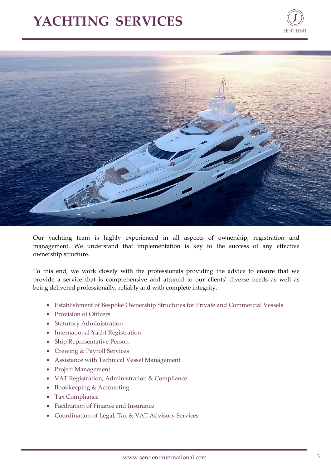### **YACHTING SERVICES**





Our yachting team is highly experienced in all aspects of ownership, registration and management. We understand that implementation is key to the success of any effective ownership structure.

To this end, we work closely with the professionals providing the advice to ensure that we provide a service that is comprehensive and attuned to our clients' diverse needs as well as being delivered professionally, reliably and with complete integrity.

- Establishment of Bespoke Ownership Structures for Private and Commercial Vessels
- Provision of Officers
- Statutory Administration
- International Yacht Registration
- Ship Representative Person
- Crewing & Payroll Services
- Assistance with Technical Vessel Management
- Project Management
- VAT Registration, Administration & Compliance
- Bookkeeping & Accounting
- Tax Compliance
- Facilitation of Finance and Insurance
- Coordination of Legal, Tax & VAT Advisory Services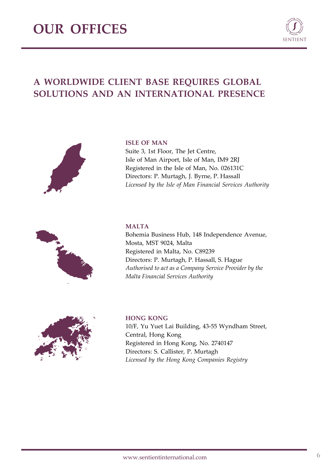

### **A WORLDWIDE CLIENT BASE REQUIRES GLOBAL SOLUTIONS AND AN INTERNATIONAL PRESENCE**



### **ISLE OF MAN**

Suite 3, 1st Floor, The Jet Centre, Isle of Man Airport, Isle of Man, IM9 2RJ Registered in the Isle of Man, No. 026131C Directors: P. Murtagh, J. Byrne, P. Hassall *Licensed by the Isle of Man Financial Services Authority*

#### **MALTA**

Bohemia Business Hub, 148 Independence Avenue, Mosta, MST 9024, Malta Registered in Malta, No. C89239 Directors: P. Murtagh, P. Hassall, S. Hague *Authorised to act as a Company Service Provider by the Malta Financial Services Authority*



#### **HONG KONG**

10/F, Yu Yuet Lai Building, 43-55 Wyndham Street, Central, Hong Kong Registered in Hong Kong, No. 2740147 Directors: S. Callister, P. Murtagh *Licensed by the Hong Kong Companies Registry*